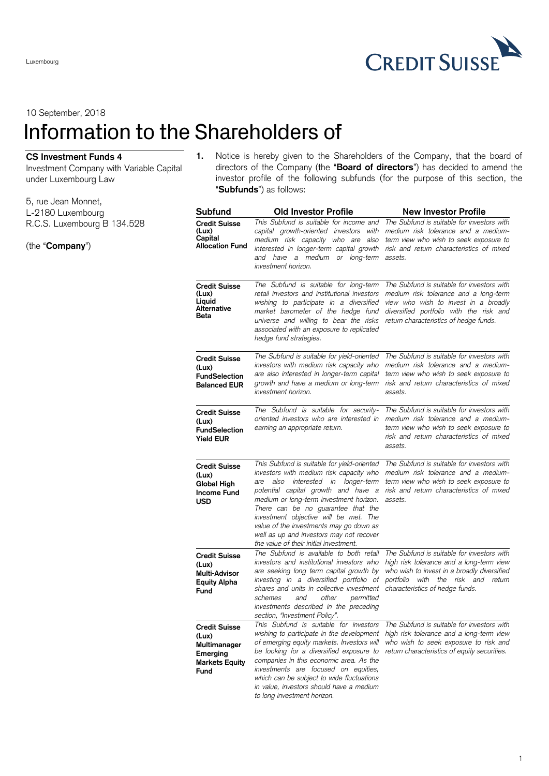$\blacktriangleright$ **CREDIT SUISSE** 

10 September, 2018

Luxembourg

## Information to the Shareholders of

## **CS Investment Funds 4**

Investment Company with Variable Capital under Luxembourg Law

- 5, rue Jean Monnet, L-2180 Luxembourg R.C.S. Luxembourg B 134.528
- (the "**Company**")

**1.** Notice is hereby given to the Shareholders of the Company, that the board of directors of the Company (the "**Board of directors**") has decided to amend the investor profile of the following subfunds (for the purpose of this section, the "**Subfunds**") as follows:

| Subfund                                                                                           | Old Investor Profile                                                                                                                                                                                                                                                                                                                                                                                                                 | <b>New Investor Profile</b>                                                                                                                                                                                      |
|---------------------------------------------------------------------------------------------------|--------------------------------------------------------------------------------------------------------------------------------------------------------------------------------------------------------------------------------------------------------------------------------------------------------------------------------------------------------------------------------------------------------------------------------------|------------------------------------------------------------------------------------------------------------------------------------------------------------------------------------------------------------------|
| Credit Suisse<br>(Lux)<br>Capital<br>Allocation Fund                                              | This Subfund is suitable for income and<br>capital growth-oriented investors<br>with<br>medium risk capacity who are also<br>interested in longer-term capital growth<br>and have a medium or long-term<br>investment horizon.                                                                                                                                                                                                       | The Subfund is suitable for investors with<br>medium risk tolerance and a medium-<br>term view who wish to seek exposure to<br>risk and return characteristics of mixed<br>assets.                               |
| <b>Credit Suisse</b><br>(Lux)<br>Liquid<br>Alternative<br>Beta                                    | The Subfund is suitable for long-term<br>retail investors and institutional investors<br>wishing to participate in a diversified<br>market barometer of the hedge fund<br>universe and willing to bear the risks<br>associated with an exposure to replicated<br>hedge fund strategies.                                                                                                                                              | The Subfund is suitable for investors with<br>medium risk tolerance and a long-term<br>view who wish to invest in a broadly<br>diversified portfolio with the risk and<br>return characteristics of hedge funds. |
| <b>Credit Suisse</b><br>(Lux)<br><b>FundSelection</b><br><b>Balanced EUR</b>                      | The Subfund is suitable for yield-oriented<br>investors with medium risk capacity who<br>are also interested in longer-term capital<br>growth and have a medium or long-term<br>investment horizon.                                                                                                                                                                                                                                  | The Subfund is suitable for investors with<br>medium risk tolerance and a medium-<br>term view who wish to seek exposure to<br>risk and return characteristics of mixed<br>assets.                               |
| <b>Credit Suisse</b><br>(Lux)<br><b>FundSelection</b><br><b>Yield EUR</b>                         | The Subfund is suitable for security-<br>oriented investors who are interested in<br>earning an appropriate return.                                                                                                                                                                                                                                                                                                                  | The Subfund is suitable for investors with<br>medium risk tolerance and a medium-<br>term view who wish to seek exposure to<br>risk and return characteristics of mixed<br>assets.                               |
| <b>Credit Suisse</b><br>(Lux)<br><b>Global High</b><br><b>Income Fund</b><br>USD                  | This Subfund is suitable for yield-oriented<br>investors with medium risk capacity who<br>interested in longer-term<br>also<br>are<br>potential capital growth and have a<br>medium or long-term investment horizon.<br>There can be no guarantee that the<br>investment objective will be met. The<br>value of the investments may go down as<br>well as up and investors may not recover<br>the value of their initial investment. | The Subfund is suitable for investors with<br>medium risk tolerance and a medium-<br>term view who wish to seek exposure to<br>risk and return characteristics of mixed<br>assets.                               |
| <b>Credit Suisse</b><br>(Lux)<br>Multi-Advisor<br><b>Equity Alpha</b><br>Fund                     | The Subfund is available to both retail<br>investors and institutional investors who<br>are seeking long term capital growth by<br>investing in a diversified portfolio of<br>shares and units in collective investment<br>other<br>schemes<br>and<br>permitted<br>investments described in the preceding<br>section. "Investment Policv".                                                                                           | The Subfund is suitable for investors with<br>high risk tolerance and a long-term view<br>who wish to invest in a broadly diversified<br>portfolio with the risk and return<br>characteristics of hedge funds.   |
| <b>Credit Suisse</b><br>(Lux)<br>Multimanager<br><b>Emerging</b><br><b>Markets Equity</b><br>Fund | This Subfund is suitable for investors<br>wishing to participate in the development<br>of emerging equity markets. Investors will<br>be looking for a diversified exposure to<br>companies in this economic area. As the<br>investments are focused on equities,<br>which can be subject to wide fluctuations<br>in value, investors should have a medium<br>to long investment horizon.                                             | The Subfund is suitable for investors with<br>high risk tolerance and a long-term view<br>who wish to seek exposure to risk and<br>return characteristics of equity securities.                                  |